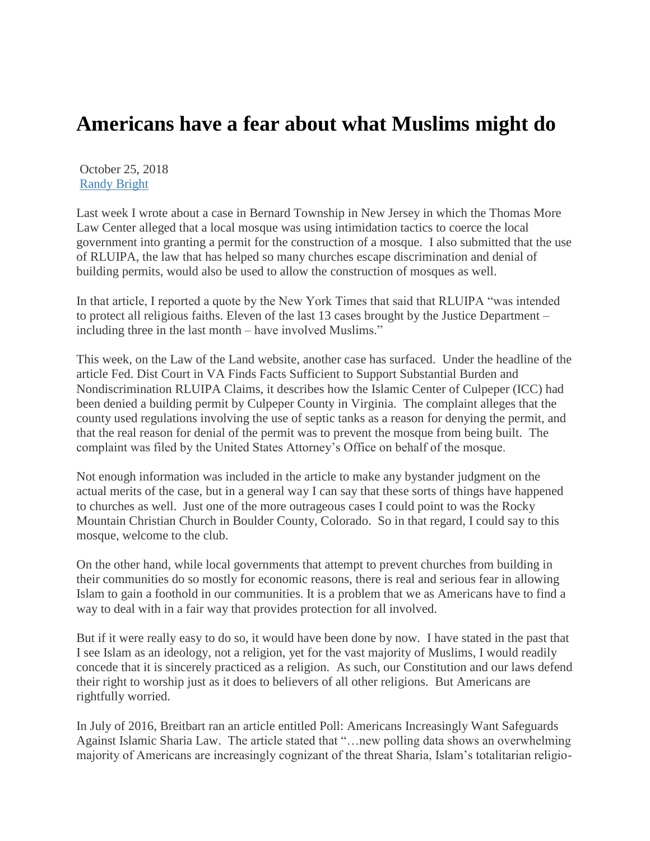## **Americans have a fear about what Muslims might do**

October 25, 2018 [Randy Bright](http://tulsabeacon.com/author/randy-bright/)

Last week I wrote about a case in Bernard Township in New Jersey in which the Thomas More Law Center alleged that a local mosque was using intimidation tactics to coerce the local government into granting a permit for the construction of a mosque. I also submitted that the use of RLUIPA, the law that has helped so many churches escape discrimination and denial of building permits, would also be used to allow the construction of mosques as well.

In that article, I reported a quote by the New York Times that said that RLUIPA "was intended to protect all religious faiths. Eleven of the last 13 cases brought by the Justice Department – including three in the last month – have involved Muslims."

This week, on the Law of the Land website, another case has surfaced. Under the headline of the article Fed. Dist Court in VA Finds Facts Sufficient to Support Substantial Burden and Nondiscrimination RLUIPA Claims, it describes how the Islamic Center of Culpeper (ICC) had been denied a building permit by Culpeper County in Virginia. The complaint alleges that the county used regulations involving the use of septic tanks as a reason for denying the permit, and that the real reason for denial of the permit was to prevent the mosque from being built. The complaint was filed by the United States Attorney's Office on behalf of the mosque.

Not enough information was included in the article to make any bystander judgment on the actual merits of the case, but in a general way I can say that these sorts of things have happened to churches as well. Just one of the more outrageous cases I could point to was the Rocky Mountain Christian Church in Boulder County, Colorado. So in that regard, I could say to this mosque, welcome to the club.

On the other hand, while local governments that attempt to prevent churches from building in their communities do so mostly for economic reasons, there is real and serious fear in allowing Islam to gain a foothold in our communities. It is a problem that we as Americans have to find a way to deal with in a fair way that provides protection for all involved.

But if it were really easy to do so, it would have been done by now. I have stated in the past that I see Islam as an ideology, not a religion, yet for the vast majority of Muslims, I would readily concede that it is sincerely practiced as a religion. As such, our Constitution and our laws defend their right to worship just as it does to believers of all other religions. But Americans are rightfully worried.

In July of 2016, Breitbart ran an article entitled Poll: Americans Increasingly Want Safeguards Against Islamic Sharia Law. The article stated that "…new polling data shows an overwhelming majority of Americans are increasingly cognizant of the threat Sharia, Islam's totalitarian religio-